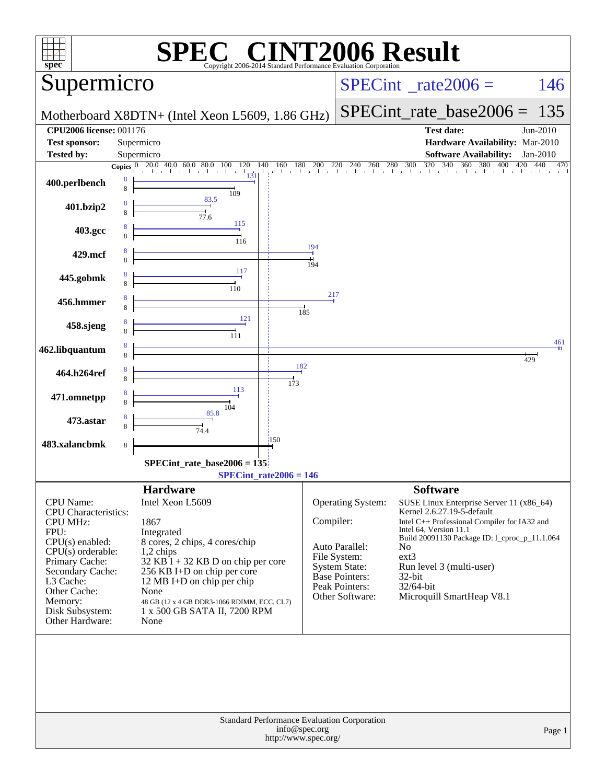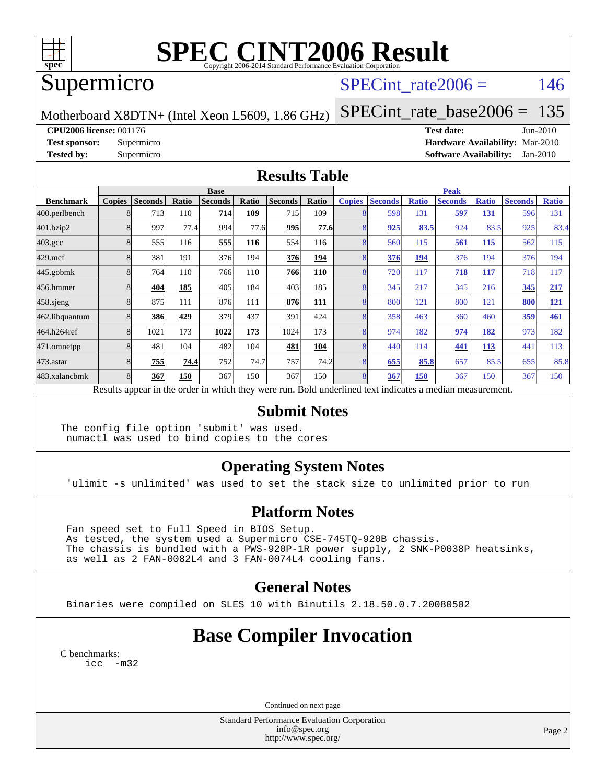

# **[SPEC CINT2006 Result](http://www.spec.org/auto/cpu2006/Docs/result-fields.html#SPECCINT2006Result)**

## Supermicro

### SPECint rate $2006 = 146$

Motherboard X8DTN+ (Intel Xeon L5609, 1.86 GHz)

[SPECint\\_rate\\_base2006 =](http://www.spec.org/auto/cpu2006/Docs/result-fields.html#SPECintratebase2006) 135

**[CPU2006 license:](http://www.spec.org/auto/cpu2006/Docs/result-fields.html#CPU2006license)** 001176 **[Test date:](http://www.spec.org/auto/cpu2006/Docs/result-fields.html#Testdate)** Jun-2010

**[Test sponsor:](http://www.spec.org/auto/cpu2006/Docs/result-fields.html#Testsponsor)** Supermicro **[Hardware Availability:](http://www.spec.org/auto/cpu2006/Docs/result-fields.html#HardwareAvailability)** Mar-2010 **[Tested by:](http://www.spec.org/auto/cpu2006/Docs/result-fields.html#Testedby)** Supermicro **[Software Availability:](http://www.spec.org/auto/cpu2006/Docs/result-fields.html#SoftwareAvailability)** Jan-2010

#### **[Results Table](http://www.spec.org/auto/cpu2006/Docs/result-fields.html#ResultsTable)**

|                  | <b>Base</b>                                                                                              |                |       |                |       |                |             |               | <b>Peak</b>    |              |                |              |                |              |  |
|------------------|----------------------------------------------------------------------------------------------------------|----------------|-------|----------------|-------|----------------|-------------|---------------|----------------|--------------|----------------|--------------|----------------|--------------|--|
| <b>Benchmark</b> | <b>Copies</b>                                                                                            | <b>Seconds</b> | Ratio | <b>Seconds</b> | Ratio | <b>Seconds</b> | Ratio       | <b>Copies</b> | <b>Seconds</b> | <b>Ratio</b> | <b>Seconds</b> | <b>Ratio</b> | <b>Seconds</b> | <b>Ratio</b> |  |
| 400.perlbench    |                                                                                                          | 713            | 110   | 714            | 109   | 715            | 109         |               | 598            | 131          | 597            | 131          | 596            | 131          |  |
| 401.bzip2        |                                                                                                          | 997            | 77.4  | 994            | 77.6  | 995            | <u>77.6</u> |               | 925            | 83.5         | 924            | 83.5         | 925            | 83.4         |  |
| $403.\text{gcc}$ |                                                                                                          | 555            | 116   | 555            | 116   | 554            | 116         |               | 560            | 115          | 561            | 115          | 562            | 115          |  |
| $429$ .mcf       |                                                                                                          | 381            | 191   | 376            | 194   | 376            | 194         |               | 376            | 194          | 376            | 194          | 376            | 194          |  |
| $445$ .gobmk     |                                                                                                          | 764            | 110   | 766            | 110   | 766            | 110         |               | 720            | 117          | 718            | 117          | 718            | 117          |  |
| 456.hmmer        |                                                                                                          | 404            | 185   | 405            | 184   | 403            | 185         |               | 345            | 217          | 345            | 216          | 345            | 217          |  |
| $458$ .sjeng     |                                                                                                          | 875            | 111   | 876            | 111   | 876            | 111         |               | 800            | 121          | 800            | 121          | 800            | 121          |  |
| 462.libquantum   |                                                                                                          | 386            | 429   | 379            | 437   | 391            | 424         |               | 358            | 463          | 360            | 460          | 359            | 461          |  |
| 464.h264ref      |                                                                                                          | 1021           | 173   | 1022           | 173   | 1024           | 173         |               | 974            | 182          | 974            | 182          | 973            | 182          |  |
| 471.omnetpp      |                                                                                                          | 481            | 104   | 482            | 104   | 481            | 104         |               | 440            | 114          | 441            | <b>113</b>   | 441            | 113          |  |
| 473.astar        |                                                                                                          | 755            | 74.4  | 752            | 74.7  | 757            | 74.2        | 8             | 655            | 85.8         | 657            | 85.5         | 655            | 85.8         |  |
| 483.xalancbmk    |                                                                                                          | 367            | 150   | 367            | 150   | 367            | 150         | 8             | 367            | 150          | 367            | 150          | 367            | 150          |  |
|                  | Results appear in the order in which they were run. Bold underlined text indicates a median measurement. |                |       |                |       |                |             |               |                |              |                |              |                |              |  |

#### **[Submit Notes](http://www.spec.org/auto/cpu2006/Docs/result-fields.html#SubmitNotes)**

The config file option 'submit' was used. numactl was used to bind copies to the cores

### **[Operating System Notes](http://www.spec.org/auto/cpu2006/Docs/result-fields.html#OperatingSystemNotes)**

'ulimit -s unlimited' was used to set the stack size to unlimited prior to run

#### **[Platform Notes](http://www.spec.org/auto/cpu2006/Docs/result-fields.html#PlatformNotes)**

 Fan speed set to Full Speed in BIOS Setup. As tested, the system used a Supermicro CSE-745TQ-920B chassis. The chassis is bundled with a PWS-920P-1R power supply, 2 SNK-P0038P heatsinks, as well as 2 FAN-0082L4 and 3 FAN-0074L4 cooling fans.

#### **[General Notes](http://www.spec.org/auto/cpu2006/Docs/result-fields.html#GeneralNotes)**

Binaries were compiled on SLES 10 with Binutils 2.18.50.0.7.20080502

## **[Base Compiler Invocation](http://www.spec.org/auto/cpu2006/Docs/result-fields.html#BaseCompilerInvocation)**

[C benchmarks](http://www.spec.org/auto/cpu2006/Docs/result-fields.html#Cbenchmarks): [icc -m32](http://www.spec.org/cpu2006/results/res2010q3/cpu2006-20100622-12000.flags.html#user_CCbase_intel_icc_32bit_5ff4a39e364c98233615fdd38438c6f2)

Continued on next page

Standard Performance Evaluation Corporation [info@spec.org](mailto:info@spec.org) <http://www.spec.org/>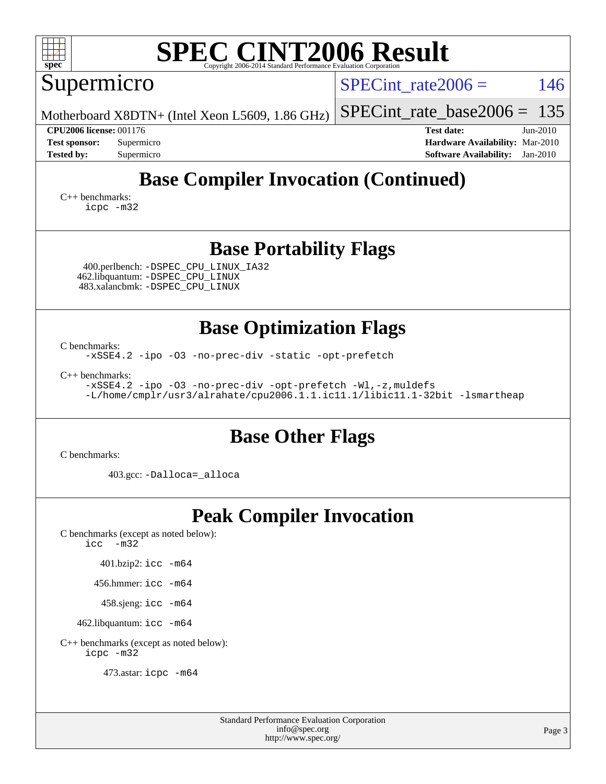| <b>SPEC CINT2006 Result</b><br>spec<br>Copyright 2006-2014 Standard Performance Evaluation Corporation                                                        |                                                                                                                   |  |  |  |  |  |  |  |  |
|---------------------------------------------------------------------------------------------------------------------------------------------------------------|-------------------------------------------------------------------------------------------------------------------|--|--|--|--|--|--|--|--|
| Supermicro                                                                                                                                                    | 146<br>SPECint rate $2006 =$                                                                                      |  |  |  |  |  |  |  |  |
| Motherboard X8DTN+ (Intel Xeon L5609, 1.86 GHz)                                                                                                               | 135<br>$SPECint_rate\_base2006 =$                                                                                 |  |  |  |  |  |  |  |  |
| <b>CPU2006 license: 001176</b><br><b>Test sponsor:</b><br>Supermicro<br><b>Tested by:</b><br>Supermicro                                                       | <b>Test date:</b><br>$Jun-2010$<br>Hardware Availability: Mar-2010<br><b>Software Availability:</b><br>$Jan-2010$ |  |  |  |  |  |  |  |  |
| <b>Base Compiler Invocation (Continued)</b><br>$C_{++}$ benchmarks:<br>icpc -m32                                                                              |                                                                                                                   |  |  |  |  |  |  |  |  |
| <b>Base Portability Flags</b><br>400.perlbench: -DSPEC_CPU_LINUX_IA32<br>462.libquantum: - DSPEC CPU LINUX<br>483.xalancbmk: - DSPEC_CPU_LINUX                |                                                                                                                   |  |  |  |  |  |  |  |  |
| <b>Base Optimization Flags</b><br>C benchmarks:<br>-xSSE4.2 -ipo -03 -no-prec-div -static -opt-prefetch                                                       |                                                                                                                   |  |  |  |  |  |  |  |  |
| C++ benchmarks:<br>-xSSE4.2 -ipo -03 -no-prec-div -opt-prefetch -Wl,-z, muldefs<br>-L/home/cmplr/usr3/alrahate/cpu2006.1.1.ic11.1/libic11.1-32bit -lsmartheap |                                                                                                                   |  |  |  |  |  |  |  |  |
| <b>Base Other Flags</b><br>C benchmarks:                                                                                                                      |                                                                                                                   |  |  |  |  |  |  |  |  |
| 403.gcc: -Dalloca=_alloca                                                                                                                                     |                                                                                                                   |  |  |  |  |  |  |  |  |
| <b>Peak Compiler Invocation</b>                                                                                                                               |                                                                                                                   |  |  |  |  |  |  |  |  |
| C benchmarks (except as noted below):<br>$\text{icc}$ -m32                                                                                                    |                                                                                                                   |  |  |  |  |  |  |  |  |
| 401.bzip2: icc -m64                                                                                                                                           |                                                                                                                   |  |  |  |  |  |  |  |  |
| 456.hmmer: icc -m64                                                                                                                                           |                                                                                                                   |  |  |  |  |  |  |  |  |
| 458.sjeng: icc -m64                                                                                                                                           |                                                                                                                   |  |  |  |  |  |  |  |  |
| 462.libquantum: icc -m64                                                                                                                                      |                                                                                                                   |  |  |  |  |  |  |  |  |
| C++ benchmarks (except as noted below):                                                                                                                       |                                                                                                                   |  |  |  |  |  |  |  |  |

[icpc -m32](http://www.spec.org/cpu2006/results/res2010q3/cpu2006-20100622-12000.flags.html#user_CXXpeak_intel_icpc_32bit_4e5a5ef1a53fd332b3c49e69c3330699)

473.astar: [icpc -m64](http://www.spec.org/cpu2006/results/res2010q3/cpu2006-20100622-12000.flags.html#user_peakCXXLD473_astar_intel_icpc_64bit_fc66a5337ce925472a5c54ad6a0de310)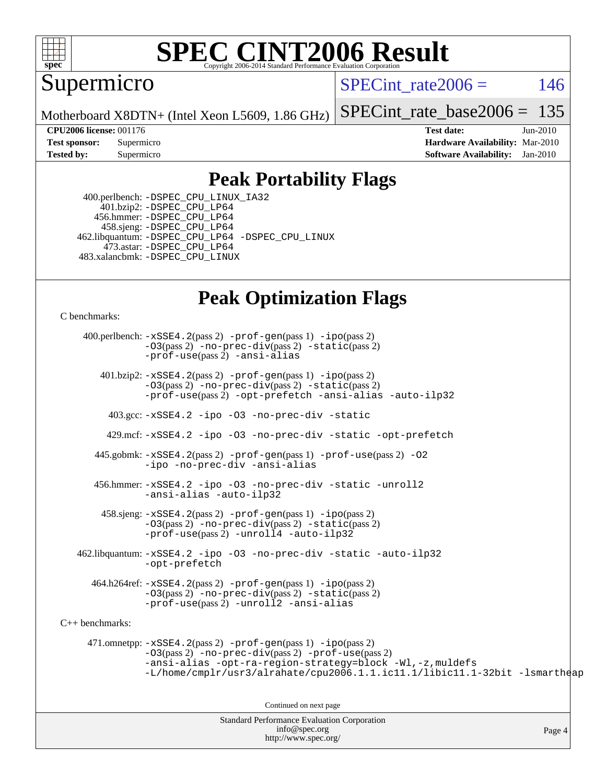

# **[SPEC CINT2006 Result](http://www.spec.org/auto/cpu2006/Docs/result-fields.html#SPECCINT2006Result)**

Supermicro

SPECint rate $2006 = 146$ 

Motherboard X8DTN+ (Intel Xeon L5609, 1.86 GHz)

[SPECint\\_rate\\_base2006 =](http://www.spec.org/auto/cpu2006/Docs/result-fields.html#SPECintratebase2006) 135

**[CPU2006 license:](http://www.spec.org/auto/cpu2006/Docs/result-fields.html#CPU2006license)** 001176 **[Test date:](http://www.spec.org/auto/cpu2006/Docs/result-fields.html#Testdate)** Jun-2010 **[Test sponsor:](http://www.spec.org/auto/cpu2006/Docs/result-fields.html#Testsponsor)** Supermicro **[Hardware Availability:](http://www.spec.org/auto/cpu2006/Docs/result-fields.html#HardwareAvailability)** Mar-2010 **[Tested by:](http://www.spec.org/auto/cpu2006/Docs/result-fields.html#Testedby)** Supermicro **[Software Availability:](http://www.spec.org/auto/cpu2006/Docs/result-fields.html#SoftwareAvailability)** Jan-2010

### **[Peak Portability Flags](http://www.spec.org/auto/cpu2006/Docs/result-fields.html#PeakPortabilityFlags)**

 400.perlbench: [-DSPEC\\_CPU\\_LINUX\\_IA32](http://www.spec.org/cpu2006/results/res2010q3/cpu2006-20100622-12000.flags.html#b400.perlbench_peakCPORTABILITY_DSPEC_CPU_LINUX_IA32) 401.bzip2: [-DSPEC\\_CPU\\_LP64](http://www.spec.org/cpu2006/results/res2010q3/cpu2006-20100622-12000.flags.html#suite_peakCPORTABILITY401_bzip2_DSPEC_CPU_LP64) 456.hmmer: [-DSPEC\\_CPU\\_LP64](http://www.spec.org/cpu2006/results/res2010q3/cpu2006-20100622-12000.flags.html#suite_peakCPORTABILITY456_hmmer_DSPEC_CPU_LP64) 458.sjeng: [-DSPEC\\_CPU\\_LP64](http://www.spec.org/cpu2006/results/res2010q3/cpu2006-20100622-12000.flags.html#suite_peakCPORTABILITY458_sjeng_DSPEC_CPU_LP64) 462.libquantum: [-DSPEC\\_CPU\\_LP64](http://www.spec.org/cpu2006/results/res2010q3/cpu2006-20100622-12000.flags.html#suite_peakCPORTABILITY462_libquantum_DSPEC_CPU_LP64) [-DSPEC\\_CPU\\_LINUX](http://www.spec.org/cpu2006/results/res2010q3/cpu2006-20100622-12000.flags.html#b462.libquantum_peakCPORTABILITY_DSPEC_CPU_LINUX) 473.astar: [-DSPEC\\_CPU\\_LP64](http://www.spec.org/cpu2006/results/res2010q3/cpu2006-20100622-12000.flags.html#suite_peakCXXPORTABILITY473_astar_DSPEC_CPU_LP64) 483.xalancbmk: [-DSPEC\\_CPU\\_LINUX](http://www.spec.org/cpu2006/results/res2010q3/cpu2006-20100622-12000.flags.html#b483.xalancbmk_peakCXXPORTABILITY_DSPEC_CPU_LINUX)

## **[Peak Optimization Flags](http://www.spec.org/auto/cpu2006/Docs/result-fields.html#PeakOptimizationFlags)**

[C benchmarks](http://www.spec.org/auto/cpu2006/Docs/result-fields.html#Cbenchmarks):

Standard Performance Evaluation Corporation 400.perlbench: [-xSSE4.2](http://www.spec.org/cpu2006/results/res2010q3/cpu2006-20100622-12000.flags.html#user_peakPASS2_CFLAGSPASS2_LDCFLAGS400_perlbench_f-xSSE42_f91528193cf0b216347adb8b939d4107)(pass 2) [-prof-gen](http://www.spec.org/cpu2006/results/res2010q3/cpu2006-20100622-12000.flags.html#user_peakPASS1_CFLAGSPASS1_LDCFLAGS400_perlbench_prof_gen_e43856698f6ca7b7e442dfd80e94a8fc)(pass 1) [-ipo](http://www.spec.org/cpu2006/results/res2010q3/cpu2006-20100622-12000.flags.html#user_peakPASS2_CFLAGSPASS2_LDCFLAGS400_perlbench_f-ipo)(pass 2) [-O3](http://www.spec.org/cpu2006/results/res2010q3/cpu2006-20100622-12000.flags.html#user_peakPASS2_CFLAGSPASS2_LDCFLAGS400_perlbench_f-O3)(pass 2) [-no-prec-div](http://www.spec.org/cpu2006/results/res2010q3/cpu2006-20100622-12000.flags.html#user_peakPASS2_CFLAGSPASS2_LDCFLAGS400_perlbench_f-no-prec-div)(pass 2) [-static](http://www.spec.org/cpu2006/results/res2010q3/cpu2006-20100622-12000.flags.html#user_peakPASS2_CFLAGSPASS2_LDCFLAGS400_perlbench_f-static)(pass 2) [-prof-use](http://www.spec.org/cpu2006/results/res2010q3/cpu2006-20100622-12000.flags.html#user_peakPASS2_CFLAGSPASS2_LDCFLAGS400_perlbench_prof_use_bccf7792157ff70d64e32fe3e1250b55)(pass 2) [-ansi-alias](http://www.spec.org/cpu2006/results/res2010q3/cpu2006-20100622-12000.flags.html#user_peakCOPTIMIZE400_perlbench_f-ansi-alias) 401.bzip2: [-xSSE4.2](http://www.spec.org/cpu2006/results/res2010q3/cpu2006-20100622-12000.flags.html#user_peakPASS2_CFLAGSPASS2_LDCFLAGS401_bzip2_f-xSSE42_f91528193cf0b216347adb8b939d4107)(pass 2) [-prof-gen](http://www.spec.org/cpu2006/results/res2010q3/cpu2006-20100622-12000.flags.html#user_peakPASS1_CFLAGSPASS1_LDCFLAGS401_bzip2_prof_gen_e43856698f6ca7b7e442dfd80e94a8fc)(pass 1) [-ipo](http://www.spec.org/cpu2006/results/res2010q3/cpu2006-20100622-12000.flags.html#user_peakPASS2_CFLAGSPASS2_LDCFLAGS401_bzip2_f-ipo)(pass 2) [-O3](http://www.spec.org/cpu2006/results/res2010q3/cpu2006-20100622-12000.flags.html#user_peakPASS2_CFLAGSPASS2_LDCFLAGS401_bzip2_f-O3)(pass 2) [-no-prec-div](http://www.spec.org/cpu2006/results/res2010q3/cpu2006-20100622-12000.flags.html#user_peakPASS2_CFLAGSPASS2_LDCFLAGS401_bzip2_f-no-prec-div)(pass 2) [-static](http://www.spec.org/cpu2006/results/res2010q3/cpu2006-20100622-12000.flags.html#user_peakPASS2_CFLAGSPASS2_LDCFLAGS401_bzip2_f-static)(pass 2) [-prof-use](http://www.spec.org/cpu2006/results/res2010q3/cpu2006-20100622-12000.flags.html#user_peakPASS2_CFLAGSPASS2_LDCFLAGS401_bzip2_prof_use_bccf7792157ff70d64e32fe3e1250b55)(pass 2) [-opt-prefetch](http://www.spec.org/cpu2006/results/res2010q3/cpu2006-20100622-12000.flags.html#user_peakCOPTIMIZE401_bzip2_f-opt-prefetch) [-ansi-alias](http://www.spec.org/cpu2006/results/res2010q3/cpu2006-20100622-12000.flags.html#user_peakCOPTIMIZE401_bzip2_f-ansi-alias) [-auto-ilp32](http://www.spec.org/cpu2006/results/res2010q3/cpu2006-20100622-12000.flags.html#user_peakCOPTIMIZE401_bzip2_f-auto-ilp32) 403.gcc: [-xSSE4.2](http://www.spec.org/cpu2006/results/res2010q3/cpu2006-20100622-12000.flags.html#user_peakCOPTIMIZE403_gcc_f-xSSE42_f91528193cf0b216347adb8b939d4107) [-ipo](http://www.spec.org/cpu2006/results/res2010q3/cpu2006-20100622-12000.flags.html#user_peakCOPTIMIZE403_gcc_f-ipo) [-O3](http://www.spec.org/cpu2006/results/res2010q3/cpu2006-20100622-12000.flags.html#user_peakCOPTIMIZE403_gcc_f-O3) [-no-prec-div](http://www.spec.org/cpu2006/results/res2010q3/cpu2006-20100622-12000.flags.html#user_peakCOPTIMIZE403_gcc_f-no-prec-div) [-static](http://www.spec.org/cpu2006/results/res2010q3/cpu2006-20100622-12000.flags.html#user_peakCOPTIMIZE403_gcc_f-static) 429.mcf: [-xSSE4.2](http://www.spec.org/cpu2006/results/res2010q3/cpu2006-20100622-12000.flags.html#user_peakCOPTIMIZE429_mcf_f-xSSE42_f91528193cf0b216347adb8b939d4107) [-ipo](http://www.spec.org/cpu2006/results/res2010q3/cpu2006-20100622-12000.flags.html#user_peakCOPTIMIZE429_mcf_f-ipo) [-O3](http://www.spec.org/cpu2006/results/res2010q3/cpu2006-20100622-12000.flags.html#user_peakCOPTIMIZE429_mcf_f-O3) [-no-prec-div](http://www.spec.org/cpu2006/results/res2010q3/cpu2006-20100622-12000.flags.html#user_peakCOPTIMIZE429_mcf_f-no-prec-div) [-static](http://www.spec.org/cpu2006/results/res2010q3/cpu2006-20100622-12000.flags.html#user_peakCOPTIMIZE429_mcf_f-static) [-opt-prefetch](http://www.spec.org/cpu2006/results/res2010q3/cpu2006-20100622-12000.flags.html#user_peakCOPTIMIZE429_mcf_f-opt-prefetch) 445.gobmk: [-xSSE4.2](http://www.spec.org/cpu2006/results/res2010q3/cpu2006-20100622-12000.flags.html#user_peakPASS2_CFLAGSPASS2_LDCFLAGS445_gobmk_f-xSSE42_f91528193cf0b216347adb8b939d4107)(pass 2) [-prof-gen](http://www.spec.org/cpu2006/results/res2010q3/cpu2006-20100622-12000.flags.html#user_peakPASS1_CFLAGSPASS1_LDCFLAGS445_gobmk_prof_gen_e43856698f6ca7b7e442dfd80e94a8fc)(pass 1) [-prof-use](http://www.spec.org/cpu2006/results/res2010q3/cpu2006-20100622-12000.flags.html#user_peakPASS2_CFLAGSPASS2_LDCFLAGS445_gobmk_prof_use_bccf7792157ff70d64e32fe3e1250b55)(pass 2) [-O2](http://www.spec.org/cpu2006/results/res2010q3/cpu2006-20100622-12000.flags.html#user_peakCOPTIMIZE445_gobmk_f-O2) [-ipo](http://www.spec.org/cpu2006/results/res2010q3/cpu2006-20100622-12000.flags.html#user_peakCOPTIMIZE445_gobmk_f-ipo) [-no-prec-div](http://www.spec.org/cpu2006/results/res2010q3/cpu2006-20100622-12000.flags.html#user_peakCOPTIMIZE445_gobmk_f-no-prec-div) [-ansi-alias](http://www.spec.org/cpu2006/results/res2010q3/cpu2006-20100622-12000.flags.html#user_peakCOPTIMIZE445_gobmk_f-ansi-alias) 456.hmmer: [-xSSE4.2](http://www.spec.org/cpu2006/results/res2010q3/cpu2006-20100622-12000.flags.html#user_peakCOPTIMIZE456_hmmer_f-xSSE42_f91528193cf0b216347adb8b939d4107) [-ipo](http://www.spec.org/cpu2006/results/res2010q3/cpu2006-20100622-12000.flags.html#user_peakCOPTIMIZE456_hmmer_f-ipo) [-O3](http://www.spec.org/cpu2006/results/res2010q3/cpu2006-20100622-12000.flags.html#user_peakCOPTIMIZE456_hmmer_f-O3) [-no-prec-div](http://www.spec.org/cpu2006/results/res2010q3/cpu2006-20100622-12000.flags.html#user_peakCOPTIMIZE456_hmmer_f-no-prec-div) [-static](http://www.spec.org/cpu2006/results/res2010q3/cpu2006-20100622-12000.flags.html#user_peakCOPTIMIZE456_hmmer_f-static) [-unroll2](http://www.spec.org/cpu2006/results/res2010q3/cpu2006-20100622-12000.flags.html#user_peakCOPTIMIZE456_hmmer_f-unroll_784dae83bebfb236979b41d2422d7ec2) [-ansi-alias](http://www.spec.org/cpu2006/results/res2010q3/cpu2006-20100622-12000.flags.html#user_peakCOPTIMIZE456_hmmer_f-ansi-alias) [-auto-ilp32](http://www.spec.org/cpu2006/results/res2010q3/cpu2006-20100622-12000.flags.html#user_peakCOPTIMIZE456_hmmer_f-auto-ilp32)  $458 \text{.}$  sjeng:  $-xSSE4$ .  $2(\text{pass 2})$  -prof-qen(pass 1) [-ipo](http://www.spec.org/cpu2006/results/res2010q3/cpu2006-20100622-12000.flags.html#user_peakPASS2_CFLAGSPASS2_LDCFLAGS458_sjeng_f-ipo)(pass 2) [-O3](http://www.spec.org/cpu2006/results/res2010q3/cpu2006-20100622-12000.flags.html#user_peakPASS2_CFLAGSPASS2_LDCFLAGS458_sjeng_f-O3)(pass 2) [-no-prec-div](http://www.spec.org/cpu2006/results/res2010q3/cpu2006-20100622-12000.flags.html#user_peakPASS2_CFLAGSPASS2_LDCFLAGS458_sjeng_f-no-prec-div)(pass 2) [-static](http://www.spec.org/cpu2006/results/res2010q3/cpu2006-20100622-12000.flags.html#user_peakPASS2_CFLAGSPASS2_LDCFLAGS458_sjeng_f-static)(pass 2) [-prof-use](http://www.spec.org/cpu2006/results/res2010q3/cpu2006-20100622-12000.flags.html#user_peakPASS2_CFLAGSPASS2_LDCFLAGS458_sjeng_prof_use_bccf7792157ff70d64e32fe3e1250b55)(pass 2) [-unroll4](http://www.spec.org/cpu2006/results/res2010q3/cpu2006-20100622-12000.flags.html#user_peakCOPTIMIZE458_sjeng_f-unroll_4e5e4ed65b7fd20bdcd365bec371b81f) [-auto-ilp32](http://www.spec.org/cpu2006/results/res2010q3/cpu2006-20100622-12000.flags.html#user_peakCOPTIMIZE458_sjeng_f-auto-ilp32) 462.libquantum: [-xSSE4.2](http://www.spec.org/cpu2006/results/res2010q3/cpu2006-20100622-12000.flags.html#user_peakCOPTIMIZE462_libquantum_f-xSSE42_f91528193cf0b216347adb8b939d4107) [-ipo](http://www.spec.org/cpu2006/results/res2010q3/cpu2006-20100622-12000.flags.html#user_peakCOPTIMIZE462_libquantum_f-ipo) [-O3](http://www.spec.org/cpu2006/results/res2010q3/cpu2006-20100622-12000.flags.html#user_peakCOPTIMIZE462_libquantum_f-O3) [-no-prec-div](http://www.spec.org/cpu2006/results/res2010q3/cpu2006-20100622-12000.flags.html#user_peakCOPTIMIZE462_libquantum_f-no-prec-div) [-static](http://www.spec.org/cpu2006/results/res2010q3/cpu2006-20100622-12000.flags.html#user_peakCOPTIMIZE462_libquantum_f-static) [-auto-ilp32](http://www.spec.org/cpu2006/results/res2010q3/cpu2006-20100622-12000.flags.html#user_peakCOPTIMIZE462_libquantum_f-auto-ilp32) [-opt-prefetch](http://www.spec.org/cpu2006/results/res2010q3/cpu2006-20100622-12000.flags.html#user_peakCOPTIMIZE462_libquantum_f-opt-prefetch) 464.h264ref: [-xSSE4.2](http://www.spec.org/cpu2006/results/res2010q3/cpu2006-20100622-12000.flags.html#user_peakPASS2_CFLAGSPASS2_LDCFLAGS464_h264ref_f-xSSE42_f91528193cf0b216347adb8b939d4107)(pass 2) [-prof-gen](http://www.spec.org/cpu2006/results/res2010q3/cpu2006-20100622-12000.flags.html#user_peakPASS1_CFLAGSPASS1_LDCFLAGS464_h264ref_prof_gen_e43856698f6ca7b7e442dfd80e94a8fc)(pass 1) [-ipo](http://www.spec.org/cpu2006/results/res2010q3/cpu2006-20100622-12000.flags.html#user_peakPASS2_CFLAGSPASS2_LDCFLAGS464_h264ref_f-ipo)(pass 2) [-O3](http://www.spec.org/cpu2006/results/res2010q3/cpu2006-20100622-12000.flags.html#user_peakPASS2_CFLAGSPASS2_LDCFLAGS464_h264ref_f-O3)(pass 2) [-no-prec-div](http://www.spec.org/cpu2006/results/res2010q3/cpu2006-20100622-12000.flags.html#user_peakPASS2_CFLAGSPASS2_LDCFLAGS464_h264ref_f-no-prec-div)(pass 2) [-static](http://www.spec.org/cpu2006/results/res2010q3/cpu2006-20100622-12000.flags.html#user_peakPASS2_CFLAGSPASS2_LDCFLAGS464_h264ref_f-static)(pass 2) [-prof-use](http://www.spec.org/cpu2006/results/res2010q3/cpu2006-20100622-12000.flags.html#user_peakPASS2_CFLAGSPASS2_LDCFLAGS464_h264ref_prof_use_bccf7792157ff70d64e32fe3e1250b55)(pass 2) [-unroll2](http://www.spec.org/cpu2006/results/res2010q3/cpu2006-20100622-12000.flags.html#user_peakCOPTIMIZE464_h264ref_f-unroll_784dae83bebfb236979b41d2422d7ec2) [-ansi-alias](http://www.spec.org/cpu2006/results/res2010q3/cpu2006-20100622-12000.flags.html#user_peakCOPTIMIZE464_h264ref_f-ansi-alias) [C++ benchmarks:](http://www.spec.org/auto/cpu2006/Docs/result-fields.html#CXXbenchmarks) 471.omnetpp: [-xSSE4.2](http://www.spec.org/cpu2006/results/res2010q3/cpu2006-20100622-12000.flags.html#user_peakPASS2_CXXFLAGSPASS2_LDCXXFLAGS471_omnetpp_f-xSSE42_f91528193cf0b216347adb8b939d4107)(pass 2) [-prof-gen](http://www.spec.org/cpu2006/results/res2010q3/cpu2006-20100622-12000.flags.html#user_peakPASS1_CXXFLAGSPASS1_LDCXXFLAGS471_omnetpp_prof_gen_e43856698f6ca7b7e442dfd80e94a8fc)(pass 1) [-ipo](http://www.spec.org/cpu2006/results/res2010q3/cpu2006-20100622-12000.flags.html#user_peakPASS2_CXXFLAGSPASS2_LDCXXFLAGS471_omnetpp_f-ipo)(pass 2) [-O3](http://www.spec.org/cpu2006/results/res2010q3/cpu2006-20100622-12000.flags.html#user_peakPASS2_CXXFLAGSPASS2_LDCXXFLAGS471_omnetpp_f-O3)(pass 2) [-no-prec-div](http://www.spec.org/cpu2006/results/res2010q3/cpu2006-20100622-12000.flags.html#user_peakPASS2_CXXFLAGSPASS2_LDCXXFLAGS471_omnetpp_f-no-prec-div)(pass 2) [-prof-use](http://www.spec.org/cpu2006/results/res2010q3/cpu2006-20100622-12000.flags.html#user_peakPASS2_CXXFLAGSPASS2_LDCXXFLAGS471_omnetpp_prof_use_bccf7792157ff70d64e32fe3e1250b55)(pass 2) [-ansi-alias](http://www.spec.org/cpu2006/results/res2010q3/cpu2006-20100622-12000.flags.html#user_peakCXXOPTIMIZE471_omnetpp_f-ansi-alias) [-opt-ra-region-strategy=block](http://www.spec.org/cpu2006/results/res2010q3/cpu2006-20100622-12000.flags.html#user_peakCXXOPTIMIZE471_omnetpp_f-opt-ra-region-strategy-block_a0a37c372d03933b2a18d4af463c1f69) [-Wl,-z,muldefs](http://www.spec.org/cpu2006/results/res2010q3/cpu2006-20100622-12000.flags.html#user_peakEXTRA_LDFLAGS471_omnetpp_link_force_multiple1_74079c344b956b9658436fd1b6dd3a8a) [-L/home/cmplr/usr3/alrahate/cpu2006.1.1.ic11.1/libic11.1-32bit -lsmartheap](http://www.spec.org/cpu2006/results/res2010q3/cpu2006-20100622-12000.flags.html#user_peakEXTRA_LIBS471_omnetpp_SmartHeap_d86dffe4a79b79ef8890d5cce17030c3) Continued on next page

[info@spec.org](mailto:info@spec.org) <http://www.spec.org/>

Page 4